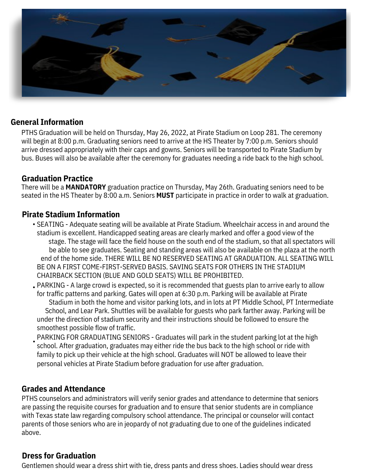

### **General Information**

PTHS Graduation will be held on Thursday, May 26, 2022, at Pirate Stadium on Loop 281. The ceremony will begin at 8:00 p.m. Graduating seniors need to arrive at the HS Theater by 7:00 p.m. Seniors should arrive dressed appropriately with their caps and gowns. Seniors will be transported to Pirate Stadium by bus. Buses will also be available after the ceremony for graduates needing a ride back to the high school.

#### **Graduation Practice**

There will be a **MANDATORY** graduation practice on Thursday, May 26th. Graduating seniors need to be seated in the HS Theater by 8:00 a.m. Seniors **MUST** participate in practice in order to walk at graduation.

#### **Pirate Stadium Information**

- SEATING Adequate seating will be available at Pirate Stadium. Wheelchair access in and around the stadium is excellent. Handicapped seating areas are clearly marked and offer a good view of the stage. The stage will face the field house on the south end of the stadium, so that all spectators will be able to see graduates. Seating and standing areas will also be available on the plaza at the north end of the home side. THERE WILL BE NO RESERVED SEATING AT GRADUATION. ALL SEATING WILL BE ON A FIRST COME-FIRST-SERVED BASIS. SAVING SEATS FOR OTHERS IN THE STADIUM CHAIRBACK SECTION (BLUE AND GOLD SEATS) WILL BE PROHIBITED.
- PARKING A large crowd is expected, so it is recommended that guests plan to arrive early to allow for traffic patterns and parking. Gates will open at 6:30 p.m. Parking will be available at Pirate Stadium in both the home and visitor parking lots, and in lots at PT Middle School, PT Intermediate School, and Lear Park. Shuttles will be available for guests who park farther away. Parking will be under the direction of stadium security and their instructions should be followed to ensure the smoothest possible flow of traffic.
- PARKING FOR GRADUATING SENIORS Graduates will park in the student parking lot at the high school. After graduation, graduates may either ride the bus back to the high school or ride with family to pick up their vehicle at the high school. Graduates will NOT be allowed to leave their personal vehicles at Pirate Stadium before graduation for use after graduation. •

### **Grades and Attendance**

PTHS counselors and administrators will verify senior grades and attendance to determine that seniors are passing the requisite courses for graduation and to ensure that senior students are in compliance with Texas state law regarding compulsory school attendance. The principal or counselor will contact parents of those seniors who are in jeopardy of not graduating due to one of the guidelines indicated above.

### **Dress for Graduation**

Gentlemen should wear a dress shirt with tie, dress pants and dress shoes. Ladies should wear dress